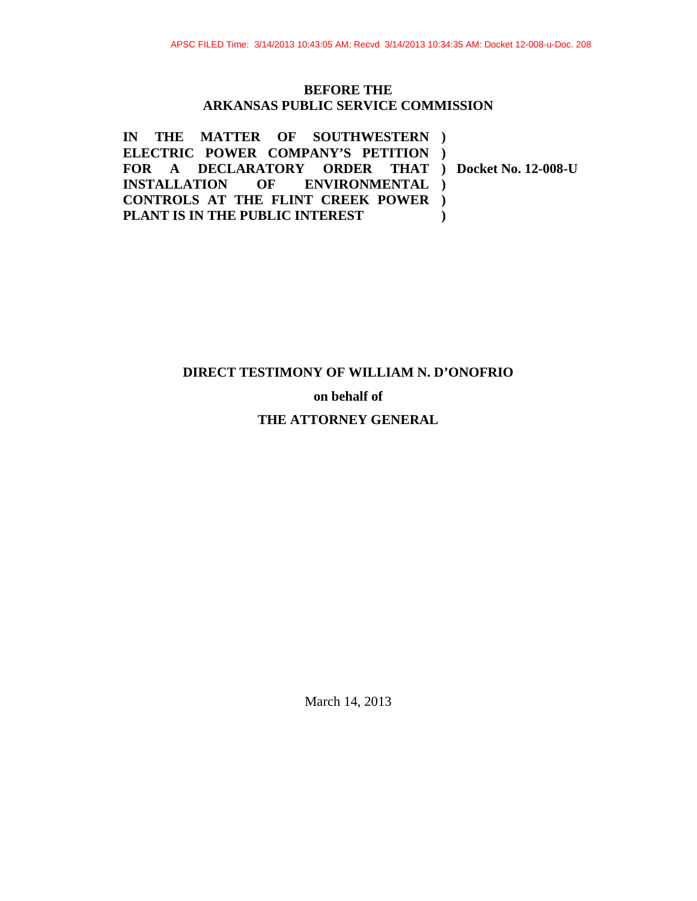### **BEFORE THE ARKANSAS PUBLIC SERVICE COMMISSION**

**IN THE MATTER OF SOUTHWESTERN ) ELECTRIC POWER COMPANY'S PETITION ) FOR A DECLARATORY ORDER THAT ) Docket No. 12-008-U INSTALLATION OF ENVIRONMENTAL ) CONTROLS AT THE FLINT CREEK POWER ) PLANT IS IN THE PUBLIC INTEREST )**

# **DIRECT TESTIMONY OF WILLIAM N. D'ONOFRIO**

**on behalf of** 

## **THE ATTORNEY GENERAL**

March 14, 2013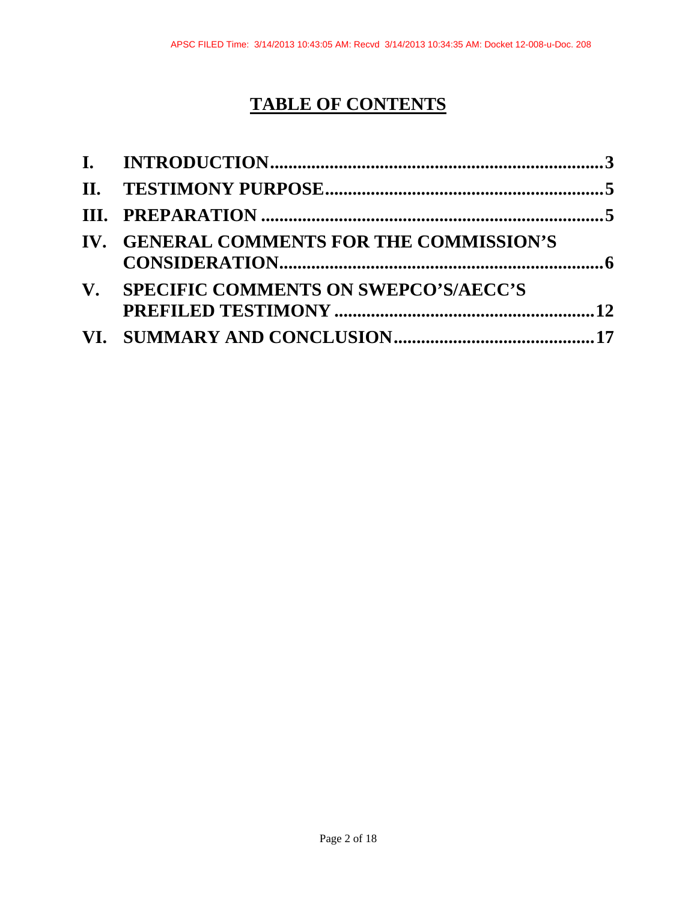# **TABLE OF CONTENTS**

| IV. GENERAL COMMENTS FOR THE COMMISSION'S |  |
|-------------------------------------------|--|
| V. SPECIFIC COMMENTS ON SWEPCO'S/AECC'S   |  |
|                                           |  |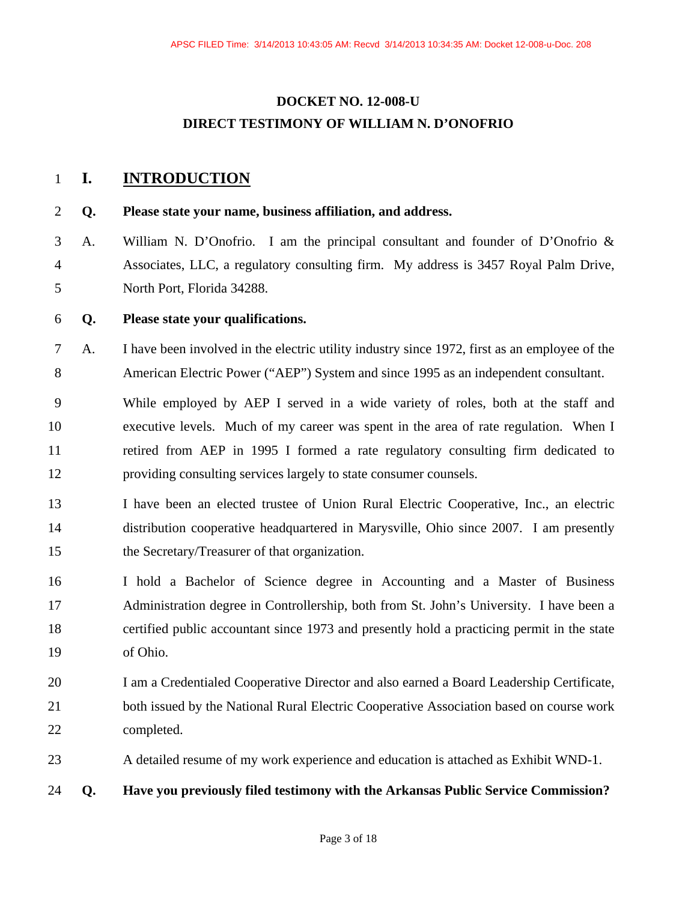# **DOCKET NO. 12-008-U DIRECT TESTIMONY OF WILLIAM N. D'ONOFRIO**

## 1 **I. INTRODUCTION**

### 2 **Q. Please state your name, business affiliation, and address.**

3 A. William N. D'Onofrio. I am the principal consultant and founder of D'Onofrio & 4 Associates, LLC, a regulatory consulting firm. My address is 3457 Royal Palm Drive, 5 North Port, Florida 34288.

### 6 **Q. Please state your qualifications.**

- 7 A. I have been involved in the electric utility industry since 1972, first as an employee of the 8 American Electric Power ("AEP") System and since 1995 as an independent consultant.
- 9 While employed by AEP I served in a wide variety of roles, both at the staff and 10 executive levels. Much of my career was spent in the area of rate regulation. When I 11 retired from AEP in 1995 I formed a rate regulatory consulting firm dedicated to 12 providing consulting services largely to state consumer counsels.
- 13 I have been an elected trustee of Union Rural Electric Cooperative, Inc., an electric 14 distribution cooperative headquartered in Marysville, Ohio since 2007. I am presently 15 the Secretary/Treasurer of that organization.
- 16 I hold a Bachelor of Science degree in Accounting and a Master of Business 17 Administration degree in Controllership, both from St. John's University. I have been a 18 certified public accountant since 1973 and presently hold a practicing permit in the state 19 of Ohio.
- 20 I am a Credentialed Cooperative Director and also earned a Board Leadership Certificate, 21 both issued by the National Rural Electric Cooperative Association based on course work 22 completed.
- 23 A detailed resume of my work experience and education is attached as Exhibit WND-1.

### 24 **Q. Have you previously filed testimony with the Arkansas Public Service Commission?**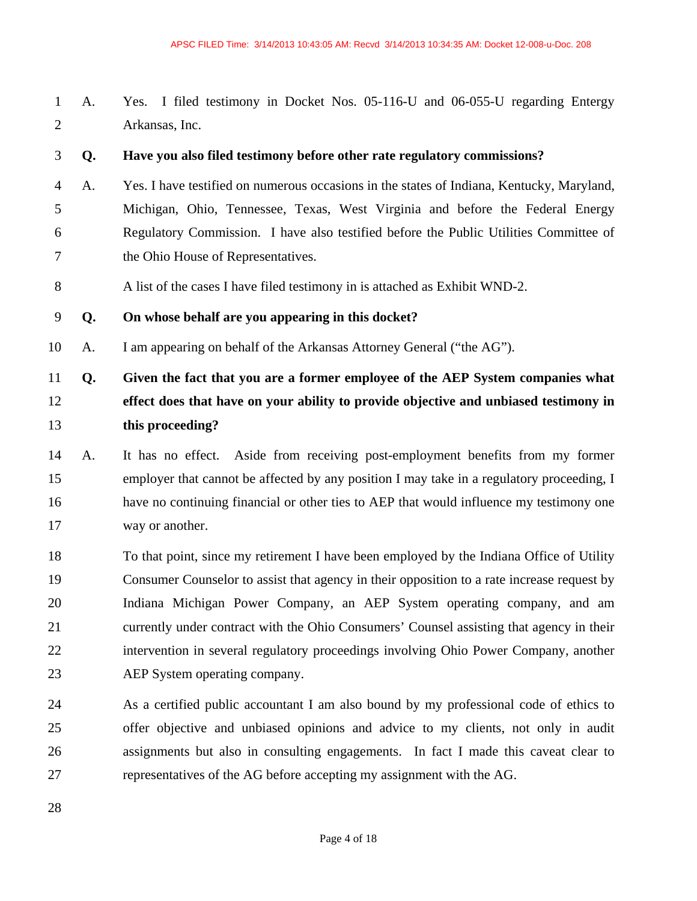1 A. Yes. I filed testimony in Docket Nos. 05-116-U and 06-055-U regarding Entergy 2 Arkansas, Inc.

3 **Q. Have you also filed testimony before other rate regulatory commissions?** 

- 4 A. Yes. I have testified on numerous occasions in the states of Indiana, Kentucky, Maryland, 5 Michigan, Ohio, Tennessee, Texas, West Virginia and before the Federal Energy 6 Regulatory Commission. I have also testified before the Public Utilities Committee of 7 the Ohio House of Representatives.
- 8 A list of the cases I have filed testimony in is attached as Exhibit WND-2.

9 **Q. On whose behalf are you appearing in this docket?** 

10 A. I am appearing on behalf of the Arkansas Attorney General ("the AG").

# 11 **Q. Given the fact that you are a former employee of the AEP System companies what**  12 **effect does that have on your ability to provide objective and unbiased testimony in**  13 **this proceeding?**

- 14 A. It has no effect. Aside from receiving post-employment benefits from my former 15 employer that cannot be affected by any position I may take in a regulatory proceeding, I 16 have no continuing financial or other ties to AEP that would influence my testimony one 17 way or another.
- 18 To that point, since my retirement I have been employed by the Indiana Office of Utility 19 Consumer Counselor to assist that agency in their opposition to a rate increase request by 20 Indiana Michigan Power Company, an AEP System operating company, and am 21 currently under contract with the Ohio Consumers' Counsel assisting that agency in their 22 intervention in several regulatory proceedings involving Ohio Power Company, another 23 AEP System operating company.
- 24 As a certified public accountant I am also bound by my professional code of ethics to 25 offer objective and unbiased opinions and advice to my clients, not only in audit 26 assignments but also in consulting engagements. In fact I made this caveat clear to 27 representatives of the AG before accepting my assignment with the AG.

28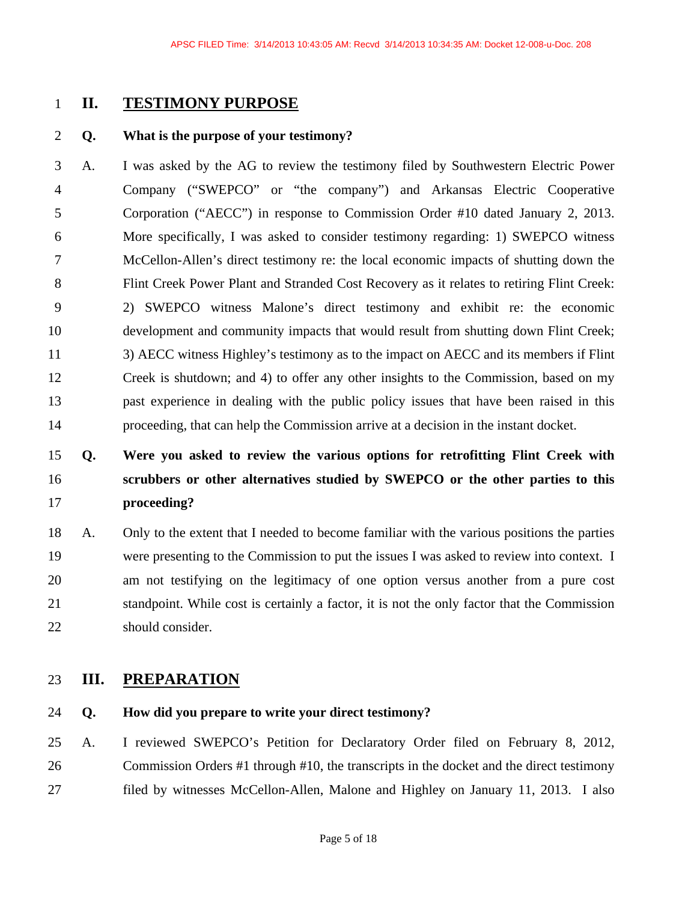## 1 **II. TESTIMONY PURPOSE**

### 2 **Q. What is the purpose of your testimony?**

3 A. I was asked by the AG to review the testimony filed by Southwestern Electric Power 4 Company ("SWEPCO" or "the company") and Arkansas Electric Cooperative 5 Corporation ("AECC") in response to Commission Order #10 dated January 2, 2013. 6 More specifically, I was asked to consider testimony regarding: 1) SWEPCO witness 7 McCellon-Allen's direct testimony re: the local economic impacts of shutting down the 8 Flint Creek Power Plant and Stranded Cost Recovery as it relates to retiring Flint Creek: 9 2) SWEPCO witness Malone's direct testimony and exhibit re: the economic 10 development and community impacts that would result from shutting down Flint Creek; 11 3) AECC witness Highley's testimony as to the impact on AECC and its members if Flint 12 Creek is shutdown; and 4) to offer any other insights to the Commission, based on my 13 past experience in dealing with the public policy issues that have been raised in this 14 proceeding, that can help the Commission arrive at a decision in the instant docket.

# 15 **Q. Were you asked to review the various options for retrofitting Flint Creek with**  16 **scrubbers or other alternatives studied by SWEPCO or the other parties to this**  17 **proceeding?**

18 A. Only to the extent that I needed to become familiar with the various positions the parties 19 were presenting to the Commission to put the issues I was asked to review into context. I 20 am not testifying on the legitimacy of one option versus another from a pure cost 21 standpoint. While cost is certainly a factor, it is not the only factor that the Commission 22 should consider.

## 23 **III. PREPARATION**

## 24 **Q. How did you prepare to write your direct testimony?**

25 A. I reviewed SWEPCO's Petition for Declaratory Order filed on February 8, 2012, 26 Commission Orders #1 through #10, the transcripts in the docket and the direct testimony 27 filed by witnesses McCellon-Allen, Malone and Highley on January 11, 2013. I also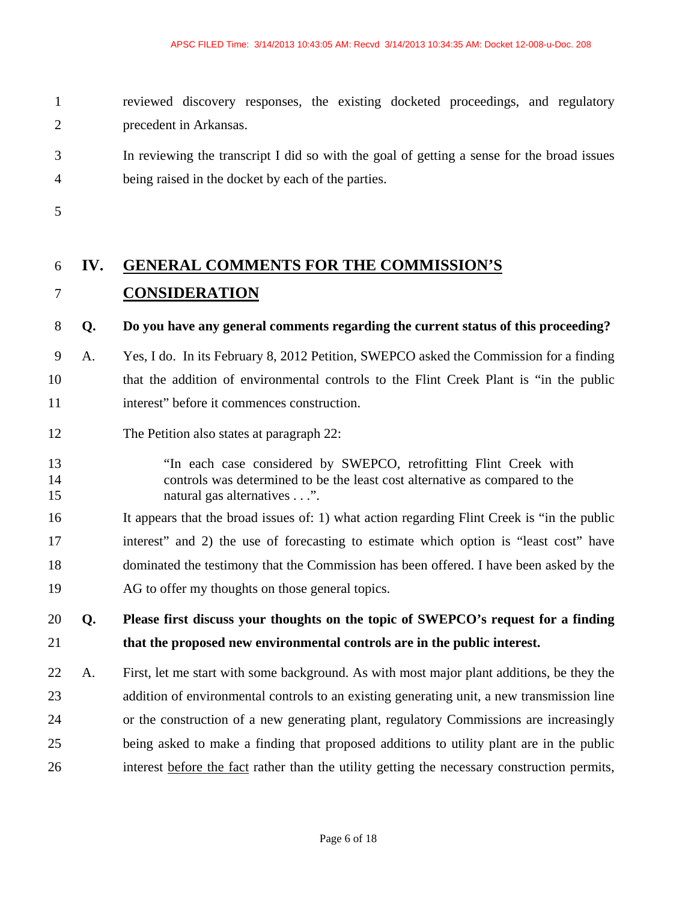1 reviewed discovery responses, the existing docketed proceedings, and regulatory 2 precedent in Arkansas.

3 In reviewing the transcript I did so with the goal of getting a sense for the broad issues 4 being raised in the docket by each of the parties.

5

# 6 **IV. GENERAL COMMENTS FOR THE COMMISSION'S**  7 **CONSIDERATION**

## 8 **Q. Do you have any general comments regarding the current status of this proceeding?**

- 9 A. Yes, I do. In its February 8, 2012 Petition, SWEPCO asked the Commission for a finding 10 that the addition of environmental controls to the Flint Creek Plant is "in the public 11 interest" before it commences construction.
- 12 The Petition also states at paragraph 22:
- 13 "In each case considered by SWEPCO, retrofitting Flint Creek with 14 controls was determined to be the least cost alternative as compared to the 15 hatural gas alternatives . . .".
- 16 It appears that the broad issues of: 1) what action regarding Flint Creek is "in the public 17 interest" and 2) the use of forecasting to estimate which option is "least cost" have 18 dominated the testimony that the Commission has been offered. I have been asked by the 19 AG to offer my thoughts on those general topics.

# 20 **Q. Please first discuss your thoughts on the topic of SWEPCO's request for a finding**  21 **that the proposed new environmental controls are in the public interest.**

22 A. First, let me start with some background. As with most major plant additions, be they the 23 addition of environmental controls to an existing generating unit, a new transmission line 24 or the construction of a new generating plant, regulatory Commissions are increasingly 25 being asked to make a finding that proposed additions to utility plant are in the public 26 interest before the fact rather than the utility getting the necessary construction permits,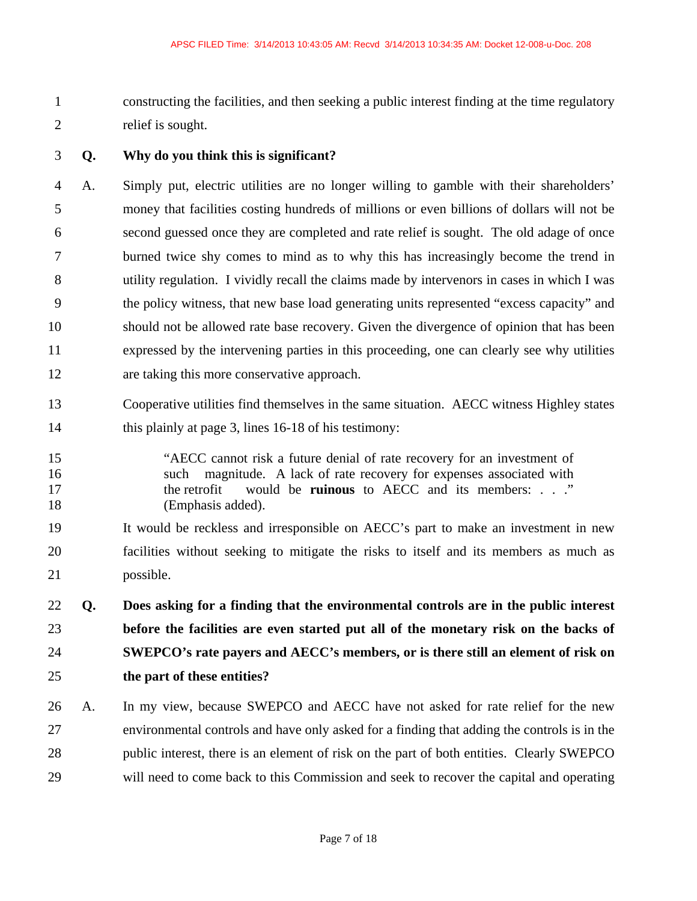1 constructing the facilities, and then seeking a public interest finding at the time regulatory 2 relief is sought.

### 3 **Q. Why do you think this is significant?**

4 A. Simply put, electric utilities are no longer willing to gamble with their shareholders' 5 money that facilities costing hundreds of millions or even billions of dollars will not be 6 second guessed once they are completed and rate relief is sought. The old adage of once 7 burned twice shy comes to mind as to why this has increasingly become the trend in 8 utility regulation. I vividly recall the claims made by intervenors in cases in which I was 9 the policy witness, that new base load generating units represented "excess capacity" and 10 should not be allowed rate base recovery. Given the divergence of opinion that has been 11 expressed by the intervening parties in this proceeding, one can clearly see why utilities 12 are taking this more conservative approach.

- 13 Cooperative utilities find themselves in the same situation. AECC witness Highley states 14 this plainly at page 3, lines 16-18 of his testimony:
- 15 "AECC cannot risk a future denial of rate recovery for an investment of 16 such magnitude. A lack of rate recovery for expenses associated with 17 the retrofit would be **ruinous** to AECC and its members: . . ." 18 (Emphasis added).

19 It would be reckless and irresponsible on AECC's part to make an investment in new 20 facilities without seeking to mitigate the risks to itself and its members as much as 21 possible.

**Q. Does asking for a finding that the environmental controls are in the public interest before the facilities are even started put all of the monetary risk on the backs of SWEPCO's rate payers and AECC's members, or is there still an element of risk on the part of these entities?** 

26 A. In my view, because SWEPCO and AECC have not asked for rate relief for the new 27 environmental controls and have only asked for a finding that adding the controls is in the 28 public interest, there is an element of risk on the part of both entities. Clearly SWEPCO 29 will need to come back to this Commission and seek to recover the capital and operating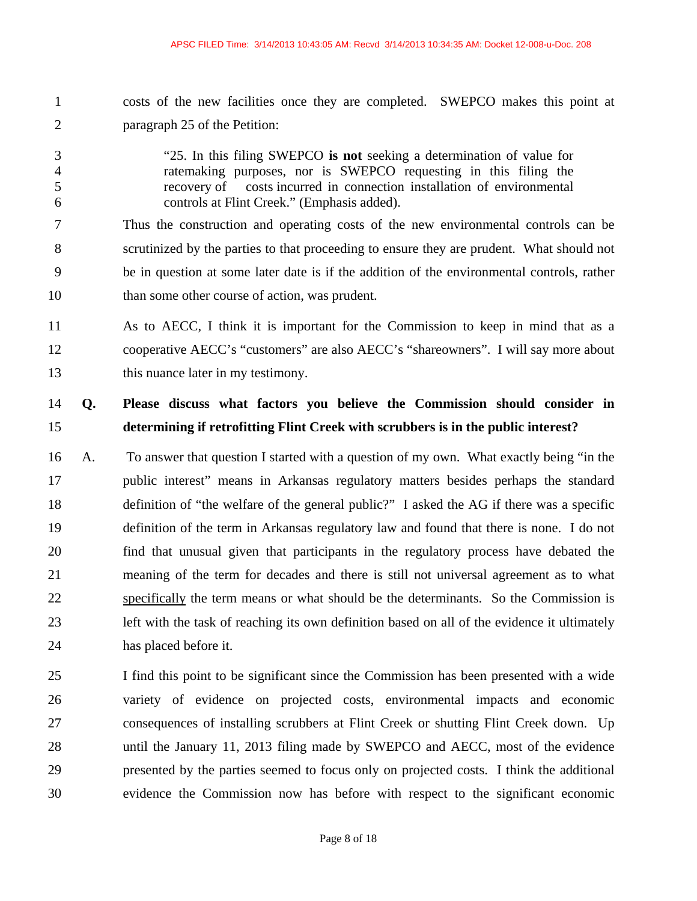- 1 costs of the new facilities once they are completed. SWEPCO makes this point at 2 paragraph 25 of the Petition:
- 3 "25. In this filing SWEPCO **is not** seeking a determination of value for 4 ratemaking purposes, nor is SWEPCO requesting in this filing the 5 recovery of costs incurred in connection installation of environmental 6 controls at Flint Creek." (Emphasis added).

7 Thus the construction and operating costs of the new environmental controls can be 8 scrutinized by the parties to that proceeding to ensure they are prudent. What should not 9 be in question at some later date is if the addition of the environmental controls, rather 10 than some other course of action, was prudent.

11 As to AECC, I think it is important for the Commission to keep in mind that as a 12 cooperative AECC's "customers" are also AECC's "shareowners". I will say more about 13 this nuance later in my testimony.

# 14 **Q. Please discuss what factors you believe the Commission should consider in**  15 **determining if retrofitting Flint Creek with scrubbers is in the public interest?**

- 16 A. To answer that question I started with a question of my own. What exactly being "in the 17 public interest" means in Arkansas regulatory matters besides perhaps the standard 18 definition of "the welfare of the general public?" I asked the AG if there was a specific 19 definition of the term in Arkansas regulatory law and found that there is none. I do not 20 find that unusual given that participants in the regulatory process have debated the 21 meaning of the term for decades and there is still not universal agreement as to what 22 specifically the term means or what should be the determinants. So the Commission is 23 left with the task of reaching its own definition based on all of the evidence it ultimately 24 has placed before it.
- 25 I find this point to be significant since the Commission has been presented with a wide 26 variety of evidence on projected costs, environmental impacts and economic 27 consequences of installing scrubbers at Flint Creek or shutting Flint Creek down. Up 28 until the January 11, 2013 filing made by SWEPCO and AECC, most of the evidence 29 presented by the parties seemed to focus only on projected costs. I think the additional 30 evidence the Commission now has before with respect to the significant economic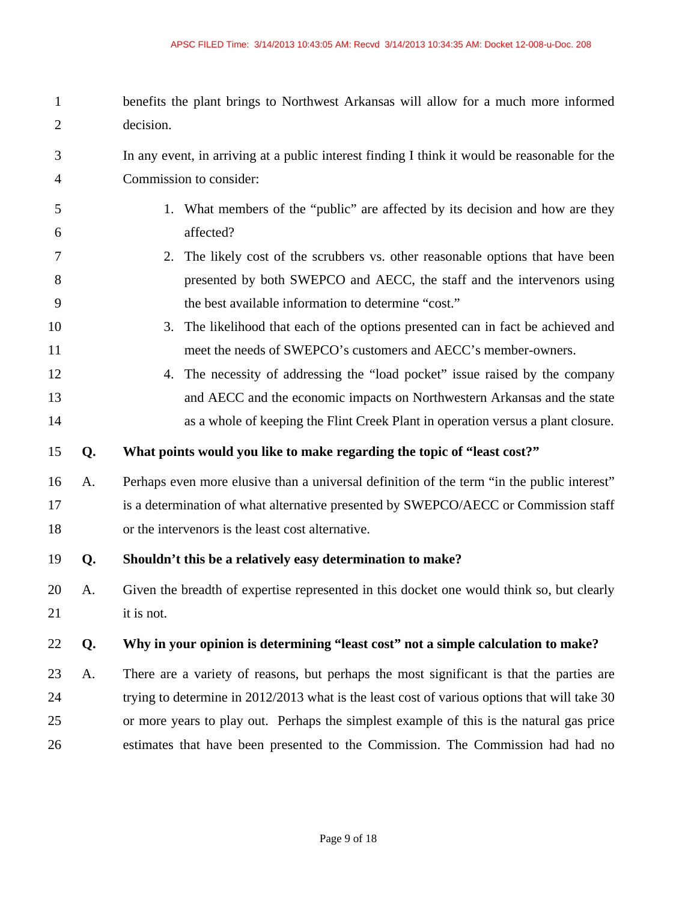- 1 benefits the plant brings to Northwest Arkansas will allow for a much more informed 2 decision.
- 3 In any event, in arriving at a public interest finding I think it would be reasonable for the 4 Commission to consider:
- 5 1. What members of the "public" are affected by its decision and how are they 6 affected?
- 7 2. The likely cost of the scrubbers vs. other reasonable options that have been 8 presented by both SWEPCO and AECC, the staff and the intervenors using 9 the best available information to determine "cost."
- 10 3. The likelihood that each of the options presented can in fact be achieved and 11 meet the needs of SWEPCO's customers and AECC's member-owners.
- 12 4. The necessity of addressing the "load pocket" issue raised by the company 13 and AECC and the economic impacts on Northwestern Arkansas and the state 14 as a whole of keeping the Flint Creek Plant in operation versus a plant closure.

### 15 **Q. What points would you like to make regarding the topic of "least cost?"**

16 A. Perhaps even more elusive than a universal definition of the term "in the public interest" 17 is a determination of what alternative presented by SWEPCO/AECC or Commission staff 18 or the intervenors is the least cost alternative.

### 19 **Q. Shouldn't this be a relatively easy determination to make?**

20 A. Given the breadth of expertise represented in this docket one would think so, but clearly 21 it is not.

### 22 **Q. Why in your opinion is determining "least cost" not a simple calculation to make?**

23 A. There are a variety of reasons, but perhaps the most significant is that the parties are 24 trying to determine in 2012/2013 what is the least cost of various options that will take 30 25 or more years to play out. Perhaps the simplest example of this is the natural gas price 26 estimates that have been presented to the Commission. The Commission had had no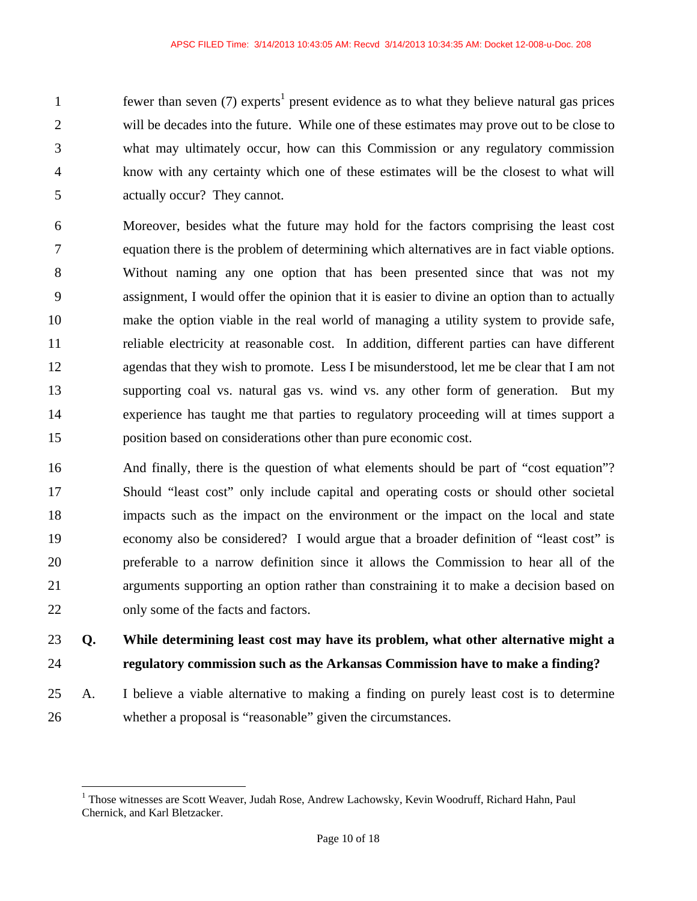fewer than seven (7) experts<sup>1</sup> present evidence as to what they believe natural gas prices 2 will be decades into the future. While one of these estimates may prove out to be close to 3 what may ultimately occur, how can this Commission or any regulatory commission 4 know with any certainty which one of these estimates will be the closest to what will 5 actually occur? They cannot.

6 Moreover, besides what the future may hold for the factors comprising the least cost 7 equation there is the problem of determining which alternatives are in fact viable options. 8 Without naming any one option that has been presented since that was not my 9 assignment, I would offer the opinion that it is easier to divine an option than to actually 10 make the option viable in the real world of managing a utility system to provide safe, 11 reliable electricity at reasonable cost. In addition, different parties can have different 12 agendas that they wish to promote. Less I be misunderstood, let me be clear that I am not 13 supporting coal vs. natural gas vs. wind vs. any other form of generation. But my 14 experience has taught me that parties to regulatory proceeding will at times support a 15 position based on considerations other than pure economic cost.

16 And finally, there is the question of what elements should be part of "cost equation"? 17 Should "least cost" only include capital and operating costs or should other societal 18 impacts such as the impact on the environment or the impact on the local and state 19 economy also be considered? I would argue that a broader definition of "least cost" is 20 preferable to a narrow definition since it allows the Commission to hear all of the 21 arguments supporting an option rather than constraining it to make a decision based on 22 only some of the facts and factors.

23 **Q. While determining least cost may have its problem, what other alternative might a**  24 **regulatory commission such as the Arkansas Commission have to make a finding?** 

25 A. I believe a viable alternative to making a finding on purely least cost is to determine 26 whether a proposal is "reasonable" given the circumstances.

 $\overline{a}$ 

<sup>&</sup>lt;sup>1</sup> Those witnesses are Scott Weaver, Judah Rose, Andrew Lachowsky, Kevin Woodruff, Richard Hahn, Paul Chernick, and Karl Bletzacker.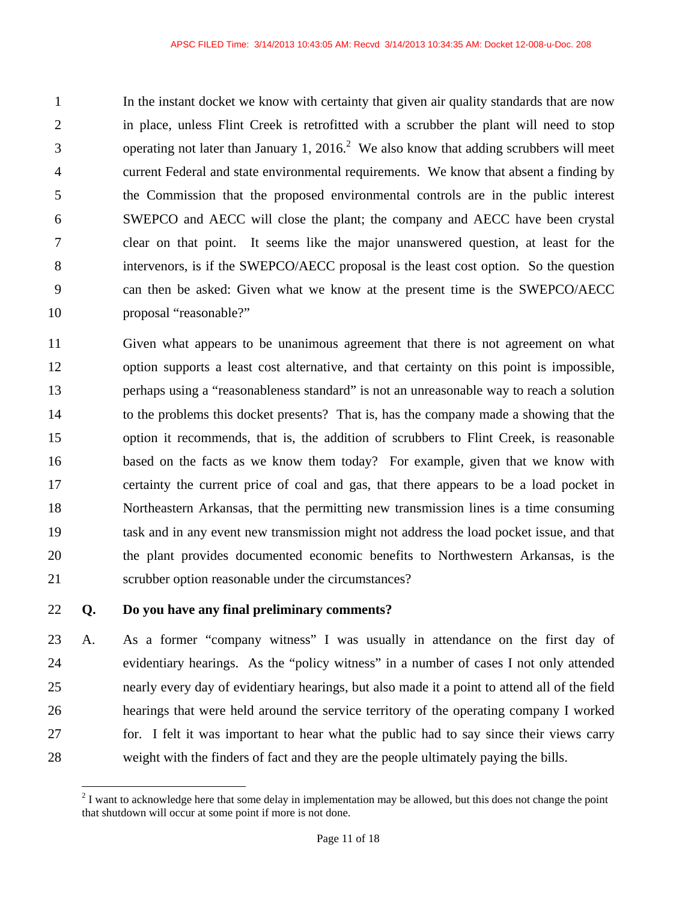1 In the instant docket we know with certainty that given air quality standards that are now 2 in place, unless Flint Creek is retrofitted with a scrubber the plant will need to stop 3 between operating not later than January 1, 2016.<sup>2</sup> We also know that adding scrubbers will meet 4 current Federal and state environmental requirements. We know that absent a finding by 5 the Commission that the proposed environmental controls are in the public interest 6 SWEPCO and AECC will close the plant; the company and AECC have been crystal 7 clear on that point. It seems like the major unanswered question, at least for the 8 intervenors, is if the SWEPCO/AECC proposal is the least cost option. So the question 9 can then be asked: Given what we know at the present time is the SWEPCO/AECC 10 proposal "reasonable?"

11 Given what appears to be unanimous agreement that there is not agreement on what 12 option supports a least cost alternative, and that certainty on this point is impossible, 13 perhaps using a "reasonableness standard" is not an unreasonable way to reach a solution 14 to the problems this docket presents? That is, has the company made a showing that the 15 option it recommends, that is, the addition of scrubbers to Flint Creek, is reasonable 16 based on the facts as we know them today? For example, given that we know with 17 certainty the current price of coal and gas, that there appears to be a load pocket in 18 Northeastern Arkansas, that the permitting new transmission lines is a time consuming 19 task and in any event new transmission might not address the load pocket issue, and that 20 the plant provides documented economic benefits to Northwestern Arkansas, is the 21 scrubber option reasonable under the circumstances?

### 22 **Q. Do you have any final preliminary comments?**

1

23 A. As a former "company witness" I was usually in attendance on the first day of 24 evidentiary hearings. As the "policy witness" in a number of cases I not only attended 25 nearly every day of evidentiary hearings, but also made it a point to attend all of the field 26 hearings that were held around the service territory of the operating company I worked 27 for. I felt it was important to hear what the public had to say since their views carry 28 weight with the finders of fact and they are the people ultimately paying the bills.

 $2<sup>2</sup>$  I want to acknowledge here that some delay in implementation may be allowed, but this does not change the point that shutdown will occur at some point if more is not done.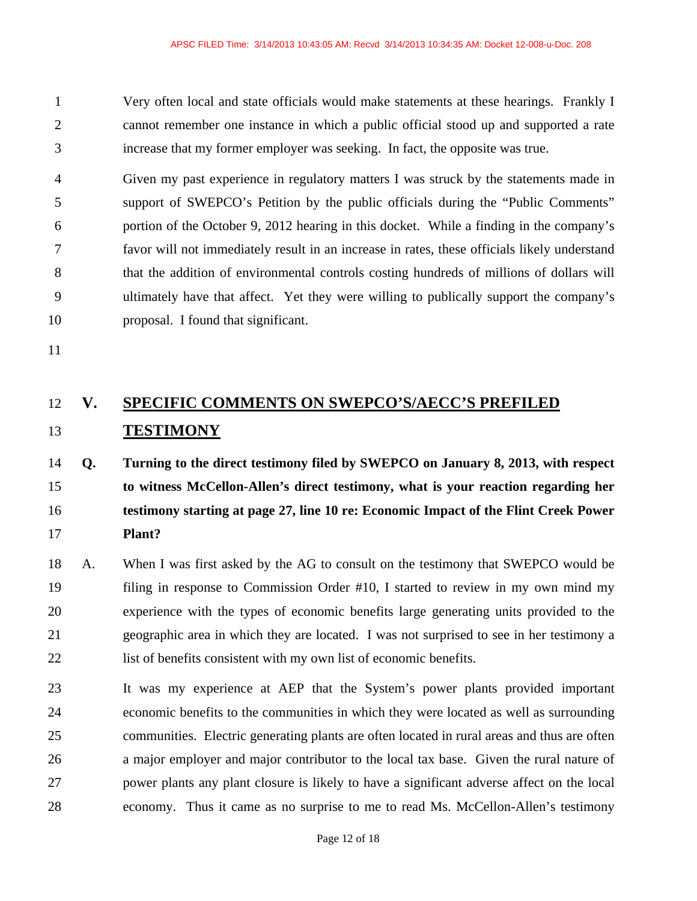1 Very often local and state officials would make statements at these hearings. Frankly I 2 cannot remember one instance in which a public official stood up and supported a rate 3 increase that my former employer was seeking. In fact, the opposite was true.

4 Given my past experience in regulatory matters I was struck by the statements made in 5 support of SWEPCO's Petition by the public officials during the "Public Comments" 6 portion of the October 9, 2012 hearing in this docket. While a finding in the company's 7 favor will not immediately result in an increase in rates, these officials likely understand 8 that the addition of environmental controls costing hundreds of millions of dollars will 9 ultimately have that affect. Yet they were willing to publically support the company's 10 proposal. I found that significant.

11

# 12 **V. SPECIFIC COMMENTS ON SWEPCO'S/AECC'S PREFILED**  13 **TESTIMONY**

# 14 **Q. Turning to the direct testimony filed by SWEPCO on January 8, 2013, with respect**  15 **to witness McCellon-Allen's direct testimony, what is your reaction regarding her**  16 **testimony starting at page 27, line 10 re: Economic Impact of the Flint Creek Power**  17 **Plant?**

- 18 A. When I was first asked by the AG to consult on the testimony that SWEPCO would be 19 filing in response to Commission Order #10, I started to review in my own mind my 20 experience with the types of economic benefits large generating units provided to the 21 geographic area in which they are located. I was not surprised to see in her testimony a 22 list of benefits consistent with my own list of economic benefits.
- 23 It was my experience at AEP that the System's power plants provided important 24 economic benefits to the communities in which they were located as well as surrounding 25 communities. Electric generating plants are often located in rural areas and thus are often 26 a major employer and major contributor to the local tax base. Given the rural nature of 27 power plants any plant closure is likely to have a significant adverse affect on the local 28 economy. Thus it came as no surprise to me to read Ms. McCellon-Allen's testimony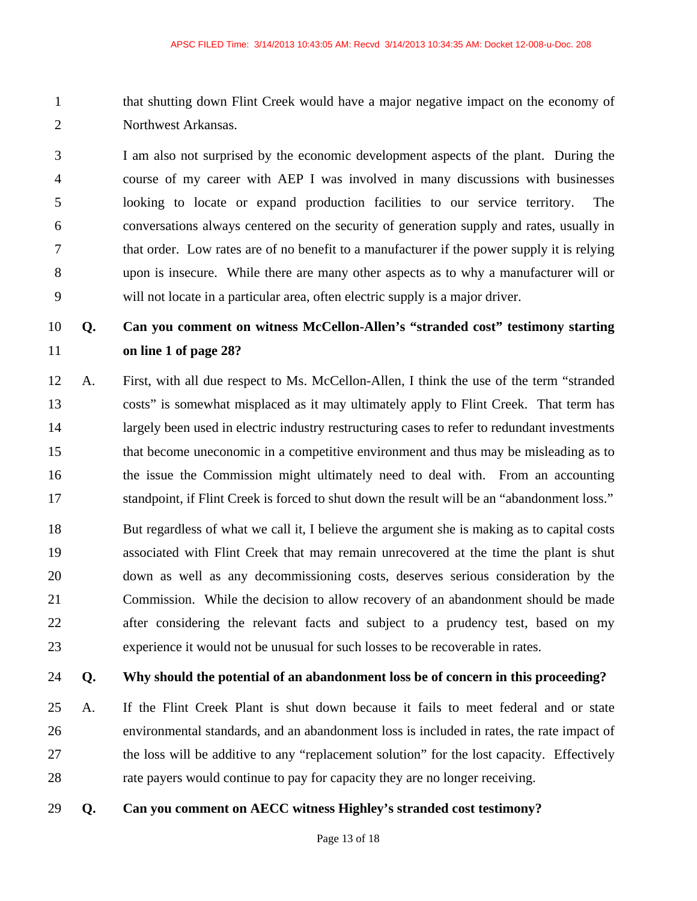1 that shutting down Flint Creek would have a major negative impact on the economy of 2 Northwest Arkansas.

3 I am also not surprised by the economic development aspects of the plant. During the 4 course of my career with AEP I was involved in many discussions with businesses 5 looking to locate or expand production facilities to our service territory. The 6 conversations always centered on the security of generation supply and rates, usually in 7 that order. Low rates are of no benefit to a manufacturer if the power supply it is relying 8 upon is insecure. While there are many other aspects as to why a manufacturer will or 9 will not locate in a particular area, often electric supply is a major driver.

# 10 **Q. Can you comment on witness McCellon-Allen's "stranded cost" testimony starting**  11 **on line 1 of page 28?**

12 A. First, with all due respect to Ms. McCellon-Allen, I think the use of the term "stranded 13 costs" is somewhat misplaced as it may ultimately apply to Flint Creek. That term has 14 largely been used in electric industry restructuring cases to refer to redundant investments 15 that become uneconomic in a competitive environment and thus may be misleading as to 16 the issue the Commission might ultimately need to deal with. From an accounting 17 standpoint, if Flint Creek is forced to shut down the result will be an "abandonment loss."

18 But regardless of what we call it, I believe the argument she is making as to capital costs 19 associated with Flint Creek that may remain unrecovered at the time the plant is shut 20 down as well as any decommissioning costs, deserves serious consideration by the 21 Commission. While the decision to allow recovery of an abandonment should be made 22 after considering the relevant facts and subject to a prudency test, based on my 23 experience it would not be unusual for such losses to be recoverable in rates.

#### 24 **Q. Why should the potential of an abandonment loss be of concern in this proceeding?**

25 A. If the Flint Creek Plant is shut down because it fails to meet federal and or state 26 environmental standards, and an abandonment loss is included in rates, the rate impact of 27 the loss will be additive to any "replacement solution" for the lost capacity. Effectively 28 rate payers would continue to pay for capacity they are no longer receiving.

29 **Q. Can you comment on AECC witness Highley's stranded cost testimony?**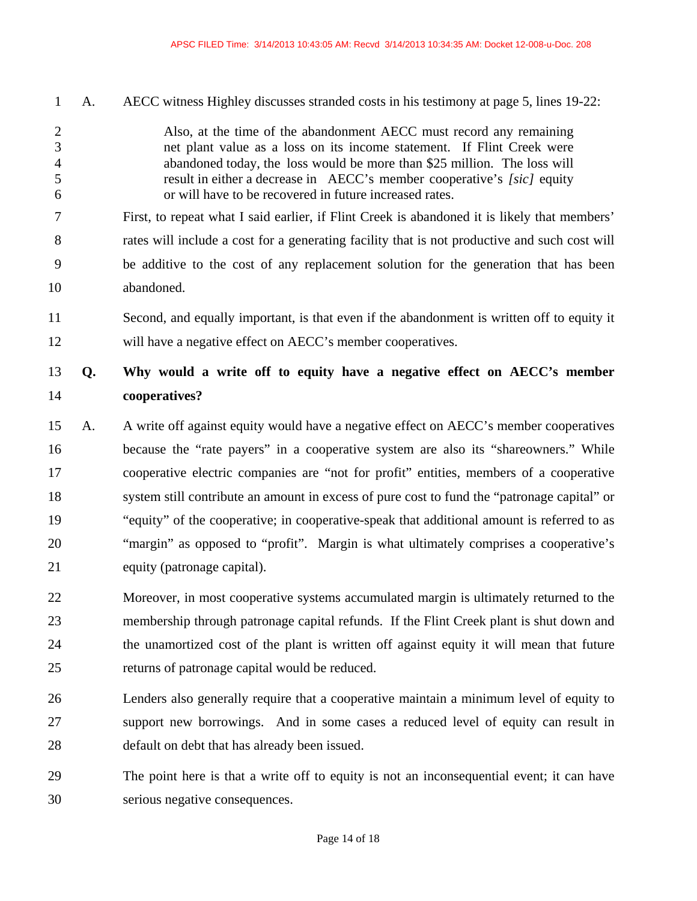1 A. AECC witness Highley discusses stranded costs in his testimony at page 5, lines 19-22:

- 2 Also, at the time of the abandonment AECC must record any remaining 3 net plant value as a loss on its income statement. If Flint Creek were 4 abandoned today, the loss would be more than \$25 million. The loss will 5 result in either a decrease in AECC's member cooperative's *[sic]* equity 6 or will have to be recovered in future increased rates.
- 7 First, to repeat what I said earlier, if Flint Creek is abandoned it is likely that members' 8 rates will include a cost for a generating facility that is not productive and such cost will 9 be additive to the cost of any replacement solution for the generation that has been 10 abandoned.
- 11 Second, and equally important, is that even if the abandonment is written off to equity it 12 will have a negative effect on AECC's member cooperatives.

# 13 **Q. Why would a write off to equity have a negative effect on AECC's member**  14 **cooperatives?**

- 15 A. A write off against equity would have a negative effect on AECC's member cooperatives 16 because the "rate payers" in a cooperative system are also its "shareowners." While 17 cooperative electric companies are "not for profit" entities, members of a cooperative 18 system still contribute an amount in excess of pure cost to fund the "patronage capital" or 19 "equity" of the cooperative; in cooperative-speak that additional amount is referred to as 20 "margin" as opposed to "profit". Margin is what ultimately comprises a cooperative's 21 equity (patronage capital).
- 22 Moreover, in most cooperative systems accumulated margin is ultimately returned to the 23 membership through patronage capital refunds. If the Flint Creek plant is shut down and 24 the unamortized cost of the plant is written off against equity it will mean that future 25 returns of patronage capital would be reduced.
- 26 Lenders also generally require that a cooperative maintain a minimum level of equity to 27 support new borrowings. And in some cases a reduced level of equity can result in 28 default on debt that has already been issued.
- 29 The point here is that a write off to equity is not an inconsequential event; it can have 30 serious negative consequences.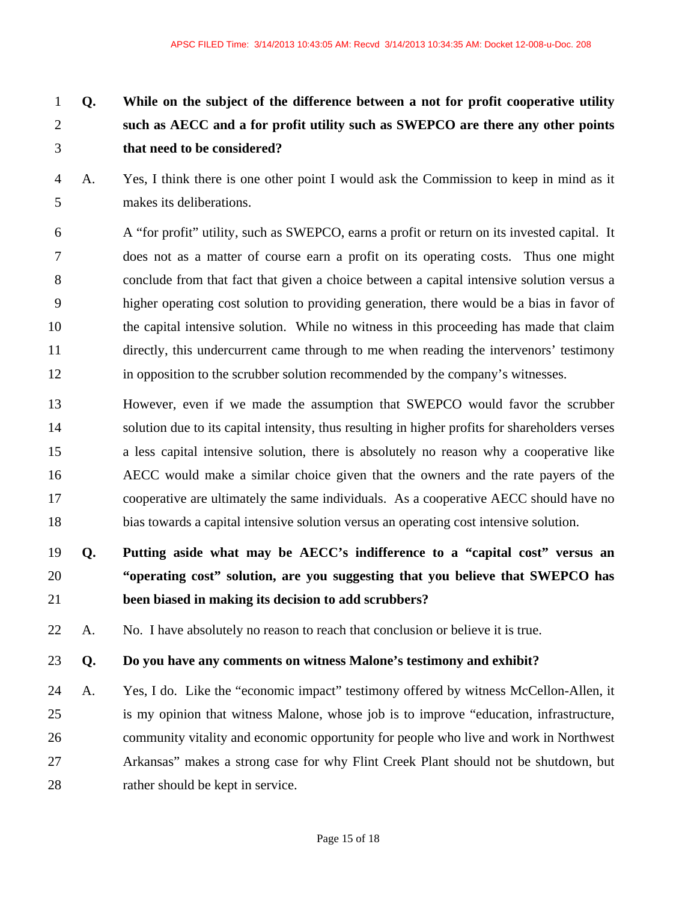# 1 **Q. While on the subject of the difference between a not for profit cooperative utility**  2 **such as AECC and a for profit utility such as SWEPCO are there any other points**  3 **that need to be considered?**

- 4 A. Yes, I think there is one other point I would ask the Commission to keep in mind as it 5 makes its deliberations.
- 6 A "for profit" utility, such as SWEPCO, earns a profit or return on its invested capital. It 7 does not as a matter of course earn a profit on its operating costs. Thus one might 8 conclude from that fact that given a choice between a capital intensive solution versus a 9 higher operating cost solution to providing generation, there would be a bias in favor of 10 the capital intensive solution. While no witness in this proceeding has made that claim 11 directly, this undercurrent came through to me when reading the intervenors' testimony 12 in opposition to the scrubber solution recommended by the company's witnesses.
- 13 However, even if we made the assumption that SWEPCO would favor the scrubber 14 solution due to its capital intensity, thus resulting in higher profits for shareholders verses 15 a less capital intensive solution, there is absolutely no reason why a cooperative like 16 AECC would make a similar choice given that the owners and the rate payers of the 17 cooperative are ultimately the same individuals. As a cooperative AECC should have no 18 bias towards a capital intensive solution versus an operating cost intensive solution.

# 19 **Q. Putting aside what may be AECC's indifference to a "capital cost" versus an**  20 **"operating cost" solution, are you suggesting that you believe that SWEPCO has**  21 **been biased in making its decision to add scrubbers?**

22 A. No. I have absolutely no reason to reach that conclusion or believe it is true.

### 23 **Q. Do you have any comments on witness Malone's testimony and exhibit?**

24 A. Yes, I do. Like the "economic impact" testimony offered by witness McCellon-Allen, it 25 is my opinion that witness Malone, whose job is to improve "education, infrastructure, 26 community vitality and economic opportunity for people who live and work in Northwest 27 Arkansas" makes a strong case for why Flint Creek Plant should not be shutdown, but 28 rather should be kept in service.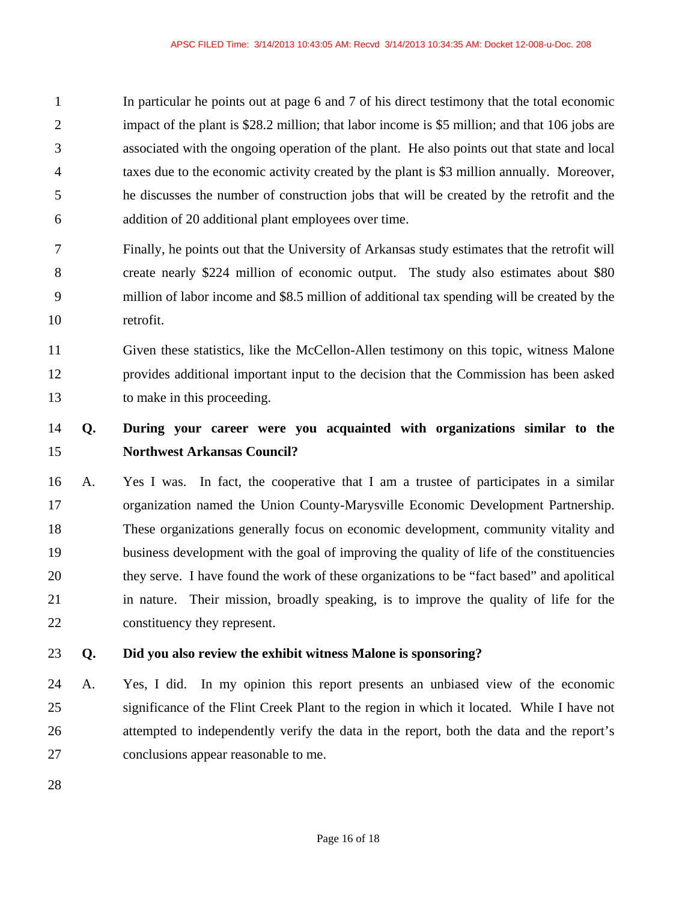1 In particular he points out at page 6 and 7 of his direct testimony that the total economic 2 impact of the plant is \$28.2 million; that labor income is \$5 million; and that 106 jobs are 3 associated with the ongoing operation of the plant. He also points out that state and local 4 taxes due to the economic activity created by the plant is \$3 million annually. Moreover, 5 he discusses the number of construction jobs that will be created by the retrofit and the 6 addition of 20 additional plant employees over time.

- 7 Finally, he points out that the University of Arkansas study estimates that the retrofit will 8 create nearly \$224 million of economic output. The study also estimates about \$80 9 million of labor income and \$8.5 million of additional tax spending will be created by the 10 retrofit.
- 11 Given these statistics, like the McCellon-Allen testimony on this topic, witness Malone 12 provides additional important input to the decision that the Commission has been asked 13 to make in this proceeding.

# 14 **Q. During your career were you acquainted with organizations similar to the**  15 **Northwest Arkansas Council?**

16 A. Yes I was. In fact, the cooperative that I am a trustee of participates in a similar 17 organization named the Union County-Marysville Economic Development Partnership. 18 These organizations generally focus on economic development, community vitality and 19 business development with the goal of improving the quality of life of the constituencies 20 they serve. I have found the work of these organizations to be "fact based" and apolitical 21 in nature. Their mission, broadly speaking, is to improve the quality of life for the 22 constituency they represent.

## 23 **Q. Did you also review the exhibit witness Malone is sponsoring?**

- 24 A. Yes, I did. In my opinion this report presents an unbiased view of the economic 25 significance of the Flint Creek Plant to the region in which it located. While I have not 26 attempted to independently verify the data in the report, both the data and the report's 27 conclusions appear reasonable to me.
- 28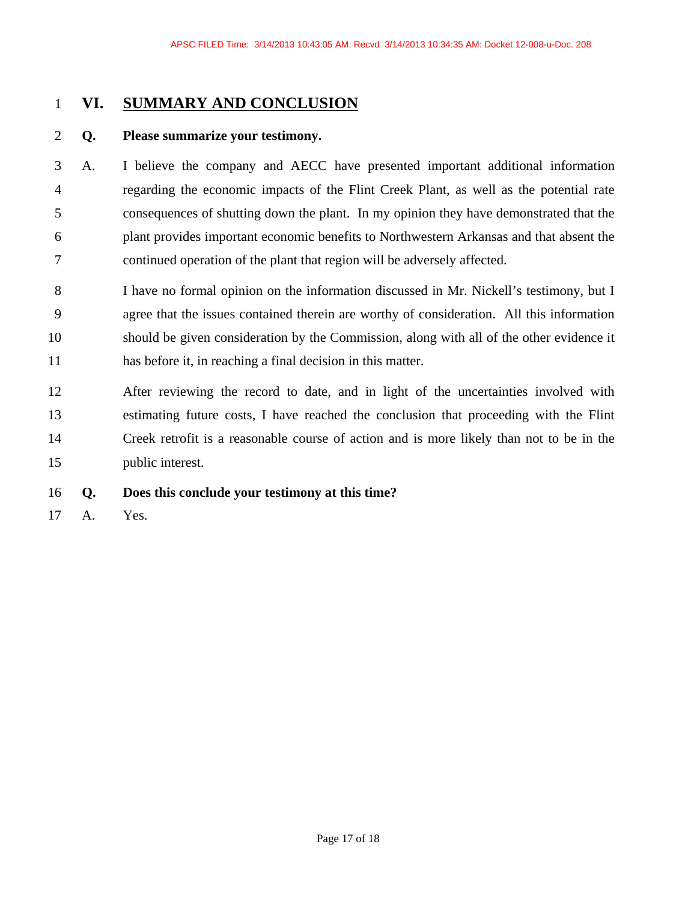# 1 **VI. SUMMARY AND CONCLUSION**

### 2 **Q. Please summarize your testimony.**

- 3 A. I believe the company and AECC have presented important additional information 4 regarding the economic impacts of the Flint Creek Plant, as well as the potential rate 5 consequences of shutting down the plant. In my opinion they have demonstrated that the 6 plant provides important economic benefits to Northwestern Arkansas and that absent the 7 continued operation of the plant that region will be adversely affected.
- 8 I have no formal opinion on the information discussed in Mr. Nickell's testimony, but I 9 agree that the issues contained therein are worthy of consideration. All this information 10 should be given consideration by the Commission, along with all of the other evidence it 11 has before it, in reaching a final decision in this matter.
- 12 After reviewing the record to date, and in light of the uncertainties involved with 13 estimating future costs, I have reached the conclusion that proceeding with the Flint 14 Creek retrofit is a reasonable course of action and is more likely than not to be in the 15 public interest.

### 16 **Q. Does this conclude your testimony at this time?**

17 A. Yes.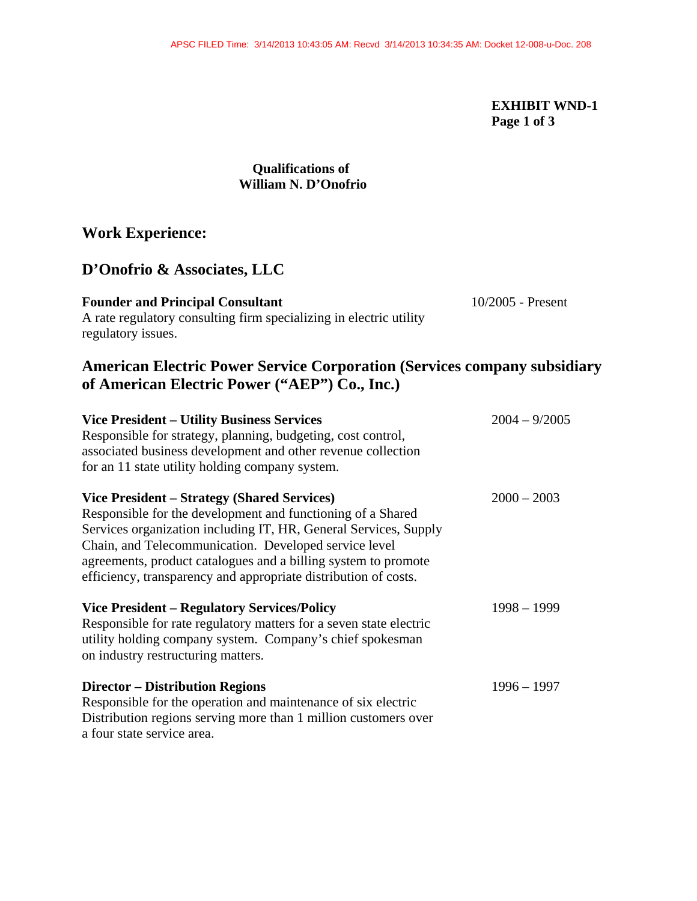### **EXHIBIT WND-1 Page 1 of 3**

### **Qualifications of William N. D'Onofrio**

# **Work Experience:**

## **D'Onofrio & Associates, LLC**

| <b>Founder and Principal Consultant</b>                            | $10/2005$ - Present |
|--------------------------------------------------------------------|---------------------|
| A rate regulatory consulting firm specializing in electric utility |                     |

### ig ritut specializing i regulatory issues.

# **American Electric Power Service Corporation (Services company subsidiary of American Electric Power ("AEP") Co., Inc.)**

| <b>Vice President – Utility Business Services</b><br>Responsible for strategy, planning, budgeting, cost control,<br>associated business development and other revenue collection<br>for an 11 state utility holding company system.                                                                                                                                         | $2004 - 9/2005$ |
|------------------------------------------------------------------------------------------------------------------------------------------------------------------------------------------------------------------------------------------------------------------------------------------------------------------------------------------------------------------------------|-----------------|
| Vice President – Strategy (Shared Services)<br>Responsible for the development and functioning of a Shared<br>Services organization including IT, HR, General Services, Supply<br>Chain, and Telecommunication. Developed service level<br>agreements, product catalogues and a billing system to promote<br>efficiency, transparency and appropriate distribution of costs. | $2000 - 2003$   |
| <b>Vice President – Regulatory Services/Policy</b><br>Responsible for rate regulatory matters for a seven state electric<br>utility holding company system. Company's chief spokesman<br>on industry restructuring matters.                                                                                                                                                  | $1998 - 1999$   |
| <b>Director – Distribution Regions</b><br>Responsible for the operation and maintenance of six electric<br>Distribution regions serving more than 1 million customers over<br>a four state service area.                                                                                                                                                                     | $1996 - 1997$   |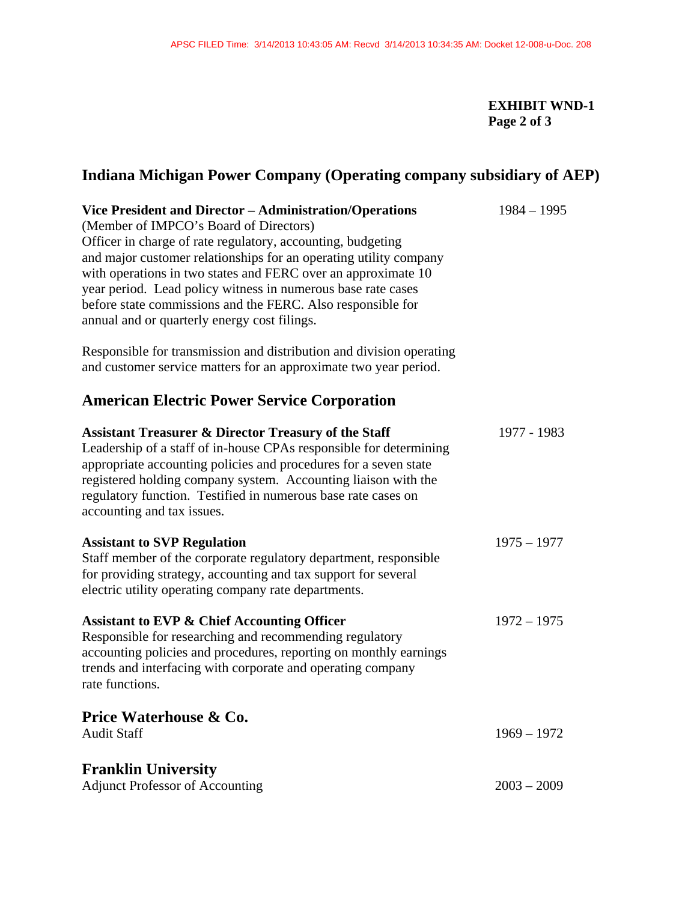# **EXHIBIT WND-1 Page 2 of 3**

# **Indiana Michigan Power Company (Operating company subsidiary of AEP)**

| Vice President and Director - Administration/Operations              | $1984 - 1995$ |
|----------------------------------------------------------------------|---------------|
| (Member of IMPCO's Board of Directors)                               |               |
| Officer in charge of rate regulatory, accounting, budgeting          |               |
| and major customer relationships for an operating utility company    |               |
| with operations in two states and FERC over an approximate 10        |               |
| year period. Lead policy witness in numerous base rate cases         |               |
| before state commissions and the FERC. Also responsible for          |               |
| annual and or quarterly energy cost filings.                         |               |
| Responsible for transmission and distribution and division operating |               |
| and customer service matters for an approximate two year period.     |               |
| <b>American Electric Power Service Corporation</b>                   |               |
| <b>Assistant Treasurer &amp; Director Treasury of the Staff</b>      | 1977 - 1983   |
| Leadership of a staff of in-house CPAs responsible for determining   |               |
| appropriate accounting policies and procedures for a seven state     |               |
| registered holding company system. Accounting liaison with the       |               |
| regulatory function. Testified in numerous base rate cases on        |               |
| accounting and tax issues.                                           |               |
| <b>Assistant to SVP Regulation</b>                                   | $1975 - 1977$ |
| Staff member of the corporate regulatory department, responsible     |               |
| for providing strategy, accounting and tax support for several       |               |
| electric utility operating company rate departments.                 |               |
| <b>Assistant to EVP &amp; Chief Accounting Officer</b>               | $1972 - 1975$ |
| Responsible for researching and recommending regulatory              |               |
| accounting policies and procedures, reporting on monthly earnings    |               |
| trends and interfacing with corporate and operating company          |               |
| rate functions.                                                      |               |
| Price Waterhouse & Co.                                               |               |
| <b>Audit Staff</b>                                                   | $1969 - 1972$ |
| <b>Franklin University</b>                                           |               |
| <b>Adjunct Professor of Accounting</b>                               | $2003 - 2009$ |
|                                                                      |               |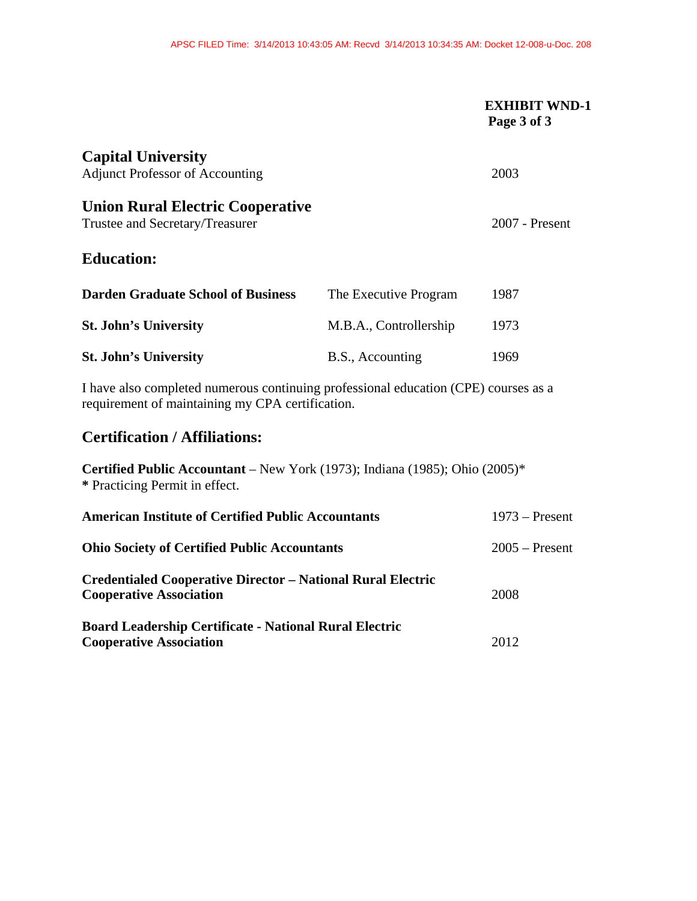|                                                                                                                                         |                                                                         | <b>EXHIBIT WND-1</b><br>Page 3 of 3 |
|-----------------------------------------------------------------------------------------------------------------------------------------|-------------------------------------------------------------------------|-------------------------------------|
| <b>Capital University</b><br><b>Adjunct Professor of Accounting</b>                                                                     |                                                                         | 2003                                |
| <b>Union Rural Electric Cooperative</b><br>Trustee and Secretary/Treasurer                                                              |                                                                         | 2007 - Present                      |
| <b>Education:</b>                                                                                                                       |                                                                         |                                     |
| <b>Darden Graduate School of Business</b>                                                                                               | The Executive Program                                                   | 1987                                |
| <b>St. John's University</b>                                                                                                            | M.B.A., Controllership                                                  | 1973                                |
| <b>St. John's University</b>                                                                                                            | B.S., Accounting                                                        | 1969                                |
| I have also completed numerous continuing professional education (CPE) courses as a<br>requirement of maintaining my CPA certification. |                                                                         |                                     |
| <b>Certification / Affiliations:</b>                                                                                                    |                                                                         |                                     |
| <b>Certified Public Accountant</b> – New York (1973); Indiana (1985); Ohio (2005)*<br>* Practicing Permit in effect.                    |                                                                         |                                     |
| <b>American Institute of Certified Public Accountants</b>                                                                               |                                                                         | $1973$ – Present                    |
|                                                                                                                                         | <b>Ohio Society of Certified Public Accountants</b><br>$2005$ – Present |                                     |

| <b>Credentialed Cooperative Director – National Rural Electric</b> |      |
|--------------------------------------------------------------------|------|
| <b>Cooperative Association</b>                                     | 2008 |
|                                                                    |      |

**Board Leadership Certificate - National Rural Electric Cooperative Association** 2012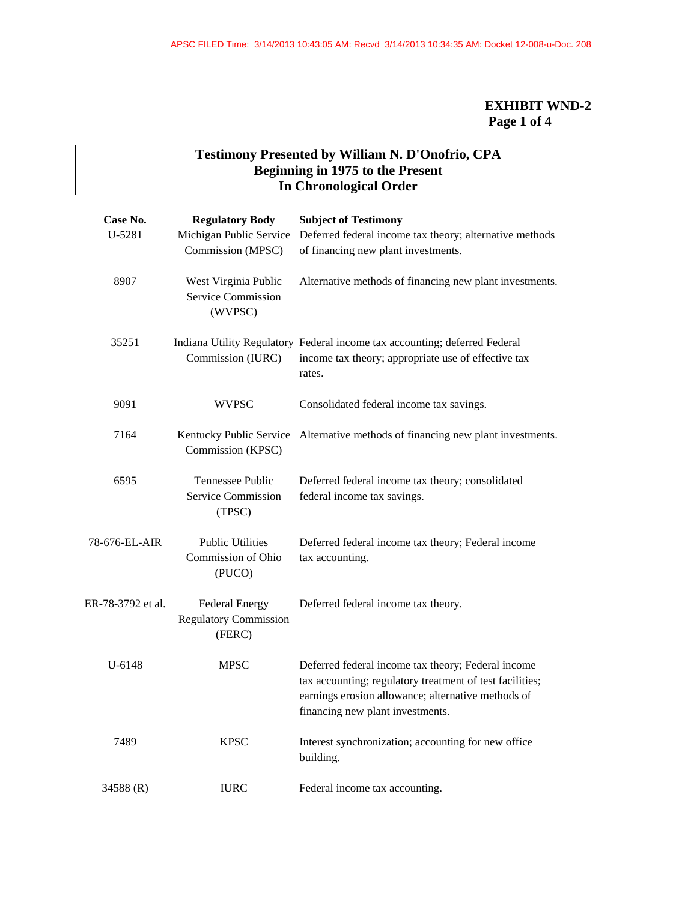# **EXHIBIT WND-2 Page 1 of 4**

# **Testimony Presented by William N. D'Onofrio, CPA Beginning in 1975 to the Present In Chronological Order**

| Case No.<br>U-5281                                            | <b>Regulatory Body</b><br>Michigan Public Service<br>Commission (MPSC) | <b>Subject of Testimony</b><br>Deferred federal income tax theory; alternative methods<br>of financing new plant investments.                                                                            |  |
|---------------------------------------------------------------|------------------------------------------------------------------------|----------------------------------------------------------------------------------------------------------------------------------------------------------------------------------------------------------|--|
| 8907<br>West Virginia Public<br>Service Commission<br>(WVPSC) |                                                                        | Alternative methods of financing new plant investments.                                                                                                                                                  |  |
| 35251                                                         | Commission (IURC)                                                      | Indiana Utility Regulatory Federal income tax accounting; deferred Federal<br>income tax theory; appropriate use of effective tax<br>rates.                                                              |  |
| 9091                                                          | WVPSC                                                                  | Consolidated federal income tax savings.                                                                                                                                                                 |  |
| 7164                                                          | Commission (KPSC)                                                      | Kentucky Public Service Alternative methods of financing new plant investments.                                                                                                                          |  |
| 6595                                                          | Tennessee Public<br><b>Service Commission</b><br>(TPSC)                | Deferred federal income tax theory; consolidated<br>federal income tax savings.                                                                                                                          |  |
| 78-676-EL-AIR                                                 | <b>Public Utilities</b><br>Commission of Ohio<br>(PUCO)                | Deferred federal income tax theory; Federal income<br>tax accounting.                                                                                                                                    |  |
| ER-78-3792 et al.                                             | <b>Federal Energy</b><br><b>Regulatory Commission</b><br>(FERC)        | Deferred federal income tax theory.                                                                                                                                                                      |  |
| U-6148                                                        | <b>MPSC</b>                                                            | Deferred federal income tax theory; Federal income<br>tax accounting; regulatory treatment of test facilities;<br>earnings erosion allowance; alternative methods of<br>financing new plant investments. |  |
| 7489                                                          | <b>KPSC</b>                                                            | Interest synchronization; accounting for new office<br>building.                                                                                                                                         |  |
| 34588 (R)                                                     | <b>IURC</b>                                                            | Federal income tax accounting.                                                                                                                                                                           |  |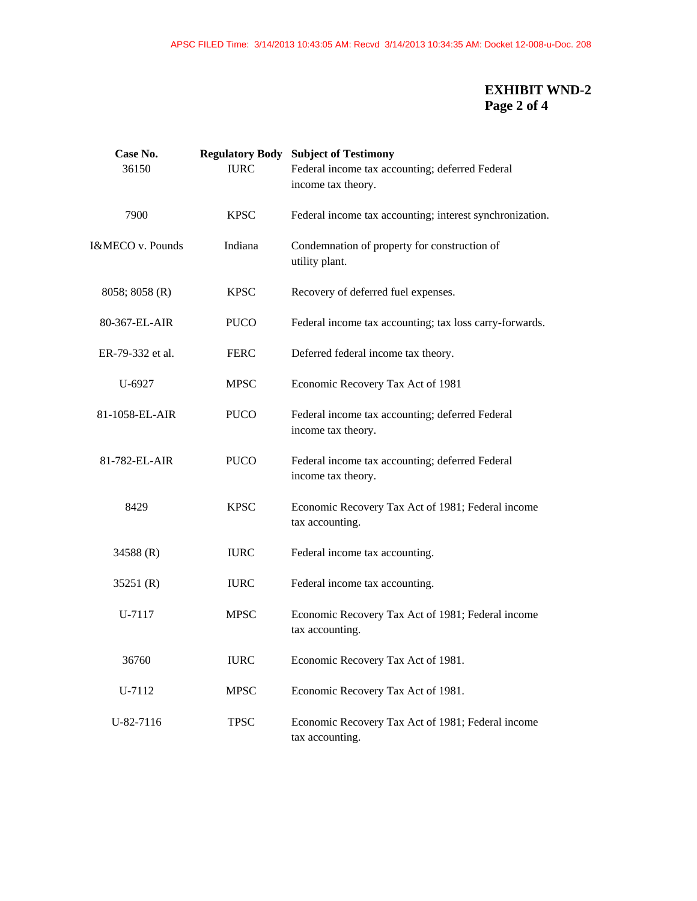## **EXHIBIT WND-2 Page 2 of 4**

| Case No.            |             | <b>Regulatory Body Subject of Testimony</b>                           |
|---------------------|-------------|-----------------------------------------------------------------------|
| 36150               | <b>IURC</b> | Federal income tax accounting; deferred Federal                       |
|                     |             | income tax theory.                                                    |
| 7900                | <b>KPSC</b> | Federal income tax accounting; interest synchronization.              |
| I&MECO v. Pounds    | Indiana     | Condemnation of property for construction of<br>utility plant.        |
| $8058$ ; $8058$ (R) | <b>KPSC</b> | Recovery of deferred fuel expenses.                                   |
| 80-367-EL-AIR       | <b>PUCO</b> | Federal income tax accounting; tax loss carry-forwards.               |
| ER-79-332 et al.    | <b>FERC</b> | Deferred federal income tax theory.                                   |
| U-6927              | <b>MPSC</b> | Economic Recovery Tax Act of 1981                                     |
| 81-1058-EL-AIR      | <b>PUCO</b> | Federal income tax accounting; deferred Federal<br>income tax theory. |
| 81-782-EL-AIR       | <b>PUCO</b> | Federal income tax accounting; deferred Federal<br>income tax theory. |
| 8429                | <b>KPSC</b> | Economic Recovery Tax Act of 1981; Federal income<br>tax accounting.  |
| 34588 (R)           | <b>IURC</b> | Federal income tax accounting.                                        |
| 35251 $(R)$         | <b>IURC</b> | Federal income tax accounting.                                        |
| U-7117              | <b>MPSC</b> | Economic Recovery Tax Act of 1981; Federal income<br>tax accounting.  |
| 36760               | <b>IURC</b> | Economic Recovery Tax Act of 1981.                                    |
| U-7112              | <b>MPSC</b> | Economic Recovery Tax Act of 1981.                                    |
| U-82-7116           | <b>TPSC</b> | Economic Recovery Tax Act of 1981; Federal income<br>tax accounting.  |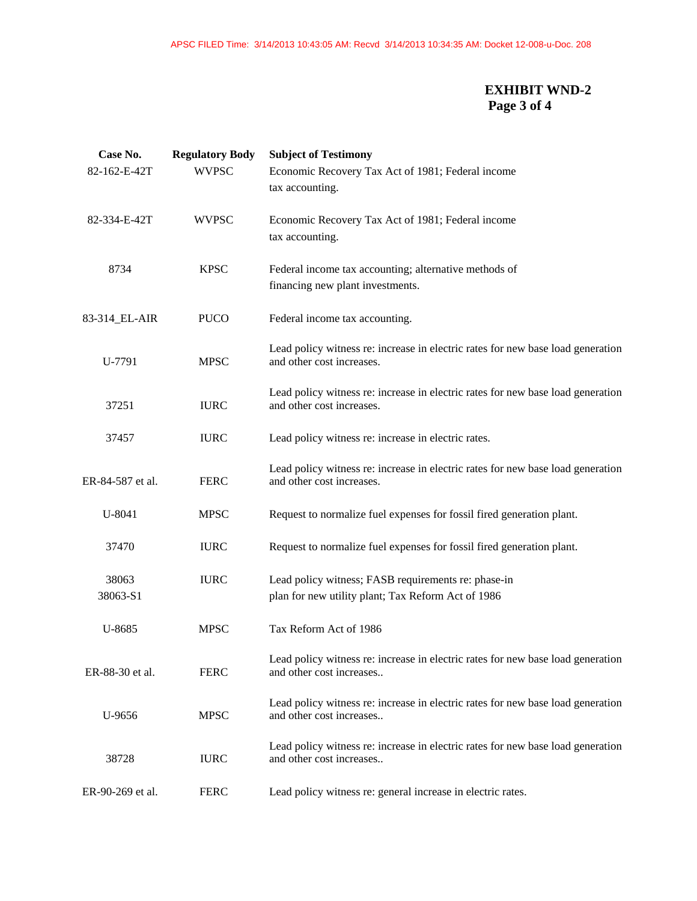## **EXHIBIT WND-2 Page 3 of 4**

| Case No.<br>82-162-E-42T | <b>Regulatory Body</b><br><b>WVPSC</b> | <b>Subject of Testimony</b><br>Economic Recovery Tax Act of 1981; Federal income<br>tax accounting.          |
|--------------------------|----------------------------------------|--------------------------------------------------------------------------------------------------------------|
| 82-334-E-42T             | <b>WVPSC</b>                           | Economic Recovery Tax Act of 1981; Federal income<br>tax accounting.                                         |
| 8734                     | <b>KPSC</b>                            | Federal income tax accounting; alternative methods of<br>financing new plant investments.                    |
| 83-314_EL-AIR            | <b>PUCO</b>                            | Federal income tax accounting.                                                                               |
| U-7791                   | <b>MPSC</b>                            | Lead policy witness re: increase in electric rates for new base load generation<br>and other cost increases. |
| 37251                    | <b>IURC</b>                            | Lead policy witness re: increase in electric rates for new base load generation<br>and other cost increases. |
| 37457                    | <b>IURC</b>                            | Lead policy witness re: increase in electric rates.                                                          |
| ER-84-587 et al.         | <b>FERC</b>                            | Lead policy witness re: increase in electric rates for new base load generation<br>and other cost increases. |
| U-8041                   | <b>MPSC</b>                            | Request to normalize fuel expenses for fossil fired generation plant.                                        |
| 37470                    | <b>IURC</b>                            | Request to normalize fuel expenses for fossil fired generation plant.                                        |
| 38063<br>38063-S1        | <b>IURC</b>                            | Lead policy witness; FASB requirements re: phase-in<br>plan for new utility plant; Tax Reform Act of 1986    |
| U-8685                   | <b>MPSC</b>                            | Tax Reform Act of 1986                                                                                       |
| ER-88-30 et al.          | <b>FERC</b>                            | Lead policy witness re: increase in electric rates for new base load generation<br>and other cost increases  |
| U-9656                   | <b>MPSC</b>                            | Lead policy witness re: increase in electric rates for new base load generation<br>and other cost increases  |
| 38728                    | <b>IURC</b>                            | Lead policy witness re: increase in electric rates for new base load generation<br>and other cost increases  |
| ER-90-269 et al.         | <b>FERC</b>                            | Lead policy witness re: general increase in electric rates.                                                  |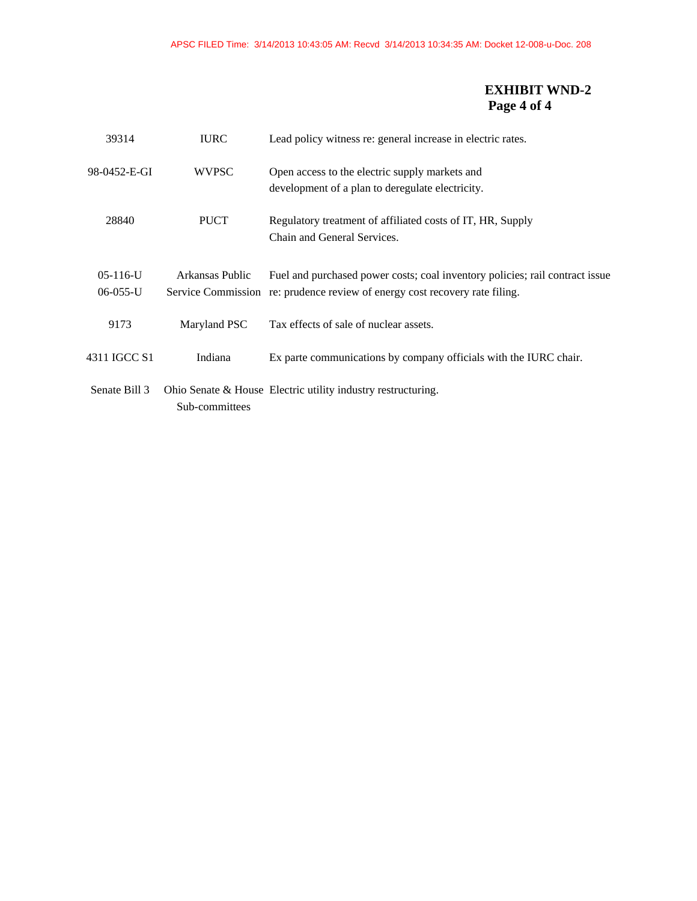## **EXHIBIT WND-2 Page 4 of 4**

| 39314                        | <b>IURC</b>     | Lead policy witness re: general increase in electric rates.                                                                                                 |
|------------------------------|-----------------|-------------------------------------------------------------------------------------------------------------------------------------------------------------|
| 98-0452-E-GI                 | <b>WVPSC</b>    | Open access to the electric supply markets and<br>development of a plan to deregulate electricity.                                                          |
| 28840                        | <b>PUCT</b>     | Regulatory treatment of affiliated costs of IT, HR, Supply<br>Chain and General Services.                                                                   |
| $05-116-U$<br>$06 - 055 - U$ | Arkansas Public | Fuel and purchased power costs; coal inventory policies; rail contract issue<br>Service Commission re: prudence review of energy cost recovery rate filing. |
| 9173                         | Maryland PSC    | Tax effects of sale of nuclear assets.                                                                                                                      |
| 4311 IGCC S1                 | Indiana         | Ex parte communications by company officials with the IURC chair.                                                                                           |
| Senate Bill 3                | Sub-committees  | Ohio Senate & House Electric utility industry restructuring.                                                                                                |